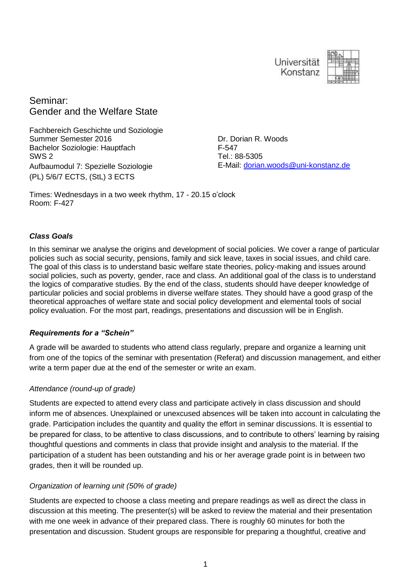



Seminar: Gender and the Welfare State

Fachbereich Geschichte und Soziologie Summer Semester 2016 Bachelor Soziologie: Hauptfach SWS 2 Aufbaumodul 7: Spezielle Soziologie (PL) 5/6/7 ECTS, (StL) 3 ECTS

Dr. Dorian R. Woods F-547 Tel.: 88-5305 E-Mail: [dorian.woods@uni-konstanz.de](mailto:dorian.woods@uni-konstanz.de)

Times: Wednesdays in a two week rhythm, 17 - 20.15 o'clock Room: F-427

#### *Class Goals*

In this seminar we analyse the origins and development of social policies. We cover a range of particular policies such as social security, pensions, family and sick leave, taxes in social issues, and child care. The goal of this class is to understand basic welfare state theories, policy-making and issues around social policies, such as poverty, gender, race and class. An additional goal of the class is to understand the logics of comparative studies. By the end of the class, students should have deeper knowledge of particular policies and social problems in diverse welfare states. They should have a good grasp of the theoretical approaches of welfare state and social policy development and elemental tools of social policy evaluation. For the most part, readings, presentations and discussion will be in English.

#### *Requirements for a "Schein"*

A grade will be awarded to students who attend class regularly, prepare and organize a learning unit from one of the topics of the seminar with presentation (Referat) and discussion management, and either write a term paper due at the end of the semester or write an exam.

#### *Attendance (round-up of grade)*

Students are expected to attend every class and participate actively in class discussion and should inform me of absences. Unexplained or unexcused absences will be taken into account in calculating the grade. Participation includes the quantity and quality the effort in seminar discussions. It is essential to be prepared for class, to be attentive to class discussions, and to contribute to others' learning by raising thoughtful questions and comments in class that provide insight and analysis to the material. If the participation of a student has been outstanding and his or her average grade point is in between two grades, then it will be rounded up.

#### *Organization of learning unit (50% of grade)*

Students are expected to choose a class meeting and prepare readings as well as direct the class in discussion at this meeting. The presenter(s) will be asked to review the material and their presentation with me one week in advance of their prepared class. There is roughly 60 minutes for both the presentation and discussion. Student groups are responsible for preparing a thoughtful, creative and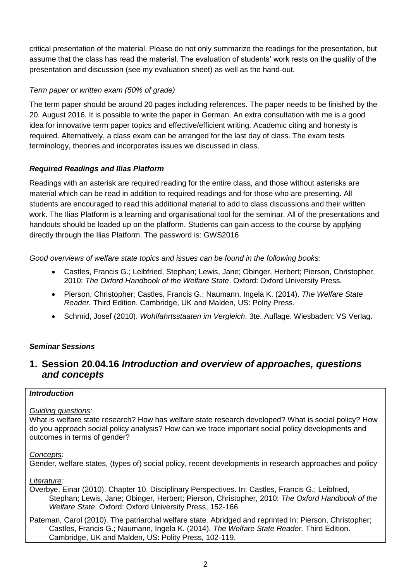critical presentation of the material. Please do not only summarize the readings for the presentation, but assume that the class has read the material. The evaluation of students' work rests on the quality of the presentation and discussion (see my evaluation sheet) as well as the hand-out.

## *Term paper or written exam (50% of grade)*

The term paper should be around 20 pages including references. The paper needs to be finished by the 20. August 2016. It is possible to write the paper in German. An extra consultation with me is a good idea for innovative term paper topics and effective/efficient writing. Academic citing and honesty is required. Alternatively, a class exam can be arranged for the last day of class. The exam tests terminology, theories and incorporates issues we discussed in class.

## *Required Readings and Ilias Platform*

Readings with an asterisk are required reading for the entire class, and those without asterisks are material which can be read in addition to required readings and for those who are presenting. All students are encouraged to read this additional material to add to class discussions and their written work. The Ilias Platform is a learning and organisational tool for the seminar. All of the presentations and handouts should be loaded up on the platform. Students can gain access to the course by applying directly through the Ilias Platform. The password is: GWS2016

*Good overviews of welfare state topics and issues can be found in the following books:*

- Castles, Francis G.; Leibfried, Stephan; Lewis, Jane; Obinger, Herbert; Pierson, Christopher, 2010: *The Oxford Handbook of the Welfare State*. Oxford: Oxford University Press.
- Pierson, Christopher; Castles, Francis G.; Naumann, Ingela K. (2014). *The Welfare State Reader.* Third Edition. Cambridge, UK and Malden, US: Polity Press.
- Schmid, Josef (2010). *Wohlfahrtsstaaten im Vergleich*. 3te. Auflage. Wiesbaden: VS Verlag.

## *Seminar Sessions*

## **1. Session 20.04.16** *Introduction and overview of approaches, questions and concepts*

#### *Introduction*

#### *Guiding questions:*

What is welfare state research? How has welfare state research developed? What is social policy? How do you approach social policy analysis? How can we trace important social policy developments and outcomes in terms of gender?

#### *Concepts:*

Gender, welfare states, (types of) social policy, recent developments in research approaches and policy

*Literature:* 

Overbye, Einar (2010). Chapter 10. Disciplinary Perspectives. In: Castles, Francis G.; Leibfried, Stephan; Lewis, Jane; Obinger, Herbert; Pierson, Christopher, 2010: *The Oxford Handbook of the Welfare State*. Oxford: Oxford University Press, 152-166.

Pateman, Carol (2010). The patriarchal welfare state. Abridged and reprinted In: Pierson, Christopher; Castles, Francis G.; Naumann, Ingela K. (2014). *The Welfare State Reader.* Third Edition. Cambridge, UK and Malden, US: Polity Press, 102-119.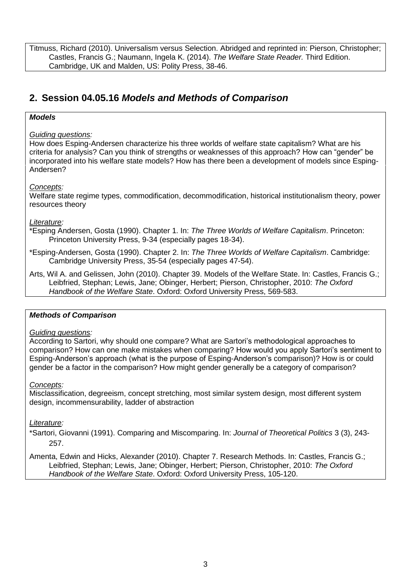Titmuss, Richard (2010). Universalism versus Selection. Abridged and reprinted in: Pierson, Christopher; Castles, Francis G.; Naumann, Ingela K. (2014). *The Welfare State Reader.* Third Edition. Cambridge, UK and Malden, US: Polity Press, 38-46.

# **2. Session 04.05.16** *Models and Methods of Comparison*

## *Models*

## *Guiding questions:*

How does Esping-Andersen characterize his three worlds of welfare state capitalism? What are his criteria for analysis? Can you think of strengths or weaknesses of this approach? How can "gender" be incorporated into his welfare state models? How has there been a development of models since Esping-Andersen?

#### *Concepts:*

Welfare state regime types, commodification, decommodification, historical institutionalism theory, power resources theory

## *Literature:*

\*Esping Andersen, Gosta (1990). Chapter 1. In: *The Three Worlds of Welfare Capitalism*. Princeton: Princeton University Press, 9-34 (especially pages 18-34).

\*Esping-Andersen, Gosta (1990). Chapter 2. In: *The Three Worlds of Welfare Capitalism*. Cambridge: Cambridge University Press, 35-54 (especially pages 47-54).

Arts, Wil A. and Gelissen, John (2010). Chapter 39. Models of the Welfare State. In: Castles, Francis G.; Leibfried, Stephan; Lewis, Jane; Obinger, Herbert; Pierson, Christopher, 2010: *The Oxford Handbook of the Welfare State*. Oxford: Oxford University Press, 569-583.

#### *Methods of Comparison*

#### *Guiding questions:*

According to Sartori, why should one compare? What are Sartori's methodological approaches to comparison? How can one make mistakes when comparing? How would you apply Sartori's sentiment to Esping-Anderson's approach (what is the purpose of Esping-Anderson's comparison)? How is or could gender be a factor in the comparison? How might gender generally be a category of comparison?

#### *Concepts:*

Misclassification, degreeism, concept stretching, most similar system design, most different system design, incommensurability, ladder of abstraction

#### *Literature:*

\*Sartori, Giovanni (1991). Comparing and Miscomparing. In: *Journal of Theoretical Politics* 3 (3), 243- 257.

Amenta, Edwin and Hicks, Alexander (2010). Chapter 7. Research Methods. In: Castles, Francis G.; Leibfried, Stephan; Lewis, Jane; Obinger, Herbert; Pierson, Christopher, 2010: *The Oxford Handbook of the Welfare State*. Oxford: Oxford University Press, 105-120.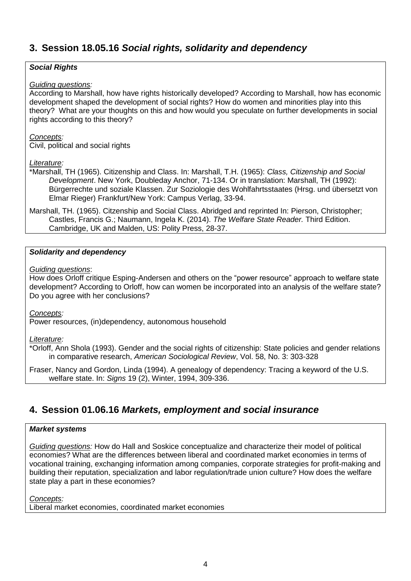# **3. Session 18.05.16** *Social rights, solidarity and dependency*

## *Social Rights*

#### *Guiding questions:*

According to Marshall, how have rights historically developed? According to Marshall, how has economic development shaped the development of social rights? How do women and minorities play into this theory? What are your thoughts on this and how would you speculate on further developments in social rights according to this theory?

#### *Concepts:*

Civil, political and social rights

#### *Literature:*

\*Marshall, TH (1965). Citizenship and Class. In: Marshall, T.H. (1965): *Class, Citizenship and Social Development*. New York, Doubleday Anchor, 71-134. Or in translation: Marshall, TH (1992): Bürgerrechte und soziale Klassen. Zur Soziologie des Wohlfahrtsstaates (Hrsg. und übersetzt von Elmar Rieger) Frankfurt/New York: Campus Verlag, 33-94.

Marshall, TH. (1965). Citzenship and Social Class. Abridged and reprinted In: Pierson, Christopher; Castles, Francis G.; Naumann, Ingela K. (2014). *The Welfare State Reader.* Third Edition. Cambridge, UK and Malden, US: Polity Press, 28-37.

#### *Solidarity and dependency*

#### *Guiding questions*:

How does Orloff critique Esping-Andersen and others on the "power resource" approach to welfare state development? According to Orloff, how can women be incorporated into an analysis of the welfare state? Do you agree with her conclusions?

*Concepts:* 

Power resources, (in)dependency, autonomous household

#### *Literature:*

\*Orloff, Ann Shola (1993). Gender and the social rights of citizenship: State policies and gender relations in comparative research, *American Sociological Review*, Vol. 58, No. 3: 303-328

Fraser, Nancy and Gordon, Linda (1994). A genealogy of dependency: Tracing a keyword of the U.S. welfare state. In: *Signs* 19 (2), Winter, 1994, 309-336.

## **4. Session 01.06.16** *Markets, employment and social insurance*

#### *Market systems*

*Guiding questions:* How do Hall and Soskice conceptualize and characterize their model of political economies? What are the differences between liberal and coordinated market economies in terms of vocational training, exchanging information among companies, corporate strategies for profit-making and building their reputation, specialization and labor regulation/trade union culture? How does the welfare state play a part in these economies?

*Concepts:*

Liberal market economies, coordinated market economies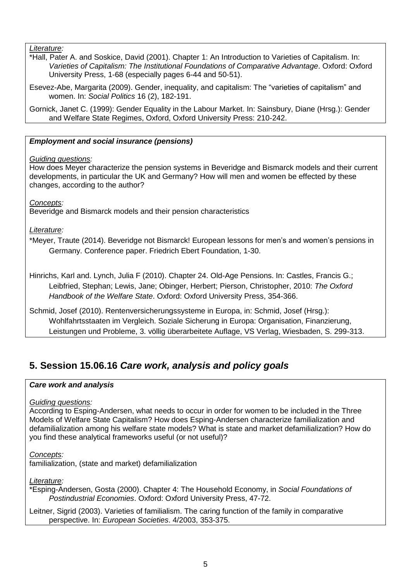## *Literature:*

\*Hall, Pater A. and Soskice, David (2001). Chapter 1: An Introduction to Varieties of Capitalism. In: *Varieties of Capitalism: The Institutional Foundations of Comparative Advantage*. Oxford: Oxford University Press, 1-68 (especially pages 6-44 and 50-51).

Esevez-Abe, Margarita (2009). Gender, inequality, and capitalism: The "varieties of capitalism" and women. In: *Social Politics* 16 (2), 182-191.

Gornick, Janet C. (1999): Gender Equality in the Labour Market. In: Sainsbury, Diane (Hrsg.): Gender and Welfare State Regimes, Oxford, Oxford University Press: 210-242.

## *Employment and social insurance (pensions)*

## *Guiding questions:*

How does Meyer characterize the pension systems in Beveridge and Bismarck models and their current developments, in particular the UK and Germany? How will men and women be effected by these changes, according to the author?

*Concepts:* 

Beveridge and Bismarck models and their pension characteristics

*Literature:*

\*Meyer, Traute (2014). Beveridge not Bismarck! European lessons for men's and women's pensions in Germany. Conference paper. Friedrich Ebert Foundation, 1-30.

Hinrichs, Karl and. Lynch, Julia F (2010). Chapter 24. Old-Age Pensions. In: Castles, Francis G.; Leibfried, Stephan; Lewis, Jane; Obinger, Herbert; Pierson, Christopher, 2010: *The Oxford Handbook of the Welfare State*. Oxford: Oxford University Press, 354-366.

Schmid, Josef (2010). Rentenversicherungssysteme in Europa, in: Schmid, Josef (Hrsg.): Wohlfahrtsstaaten im Vergleich. Soziale Sicherung in Europa: Organisation, Finanzierung, Leistungen und Probleme, 3. völlig überarbeitete Auflage, VS Verlag, Wiesbaden, S. 299-313.

# **5. Session 15.06.16** *Care work, analysis and policy goals*

#### *Care work and analysis*

## *Guiding questions:*

According to Esping-Andersen, what needs to occur in order for women to be included in the Three Models of Welfare State Capitalism? How does Esping-Andersen characterize familialization and defamilialization among his welfare state models? What is state and market defamilialization? How do you find these analytical frameworks useful (or not useful)?

*Concepts:* 

familialization, (state and market) defamilialization

*Literature:*

\*Esping-Andersen, Gosta (2000). Chapter 4: The Household Economy, in *Social Foundations of Postindustrial Economies*. Oxford: Oxford University Press, 47-72.

Leitner, Sigrid (2003). Varieties of familialism. The caring function of the family in comparative perspective. In: *European Societies*. 4/2003, 353-375.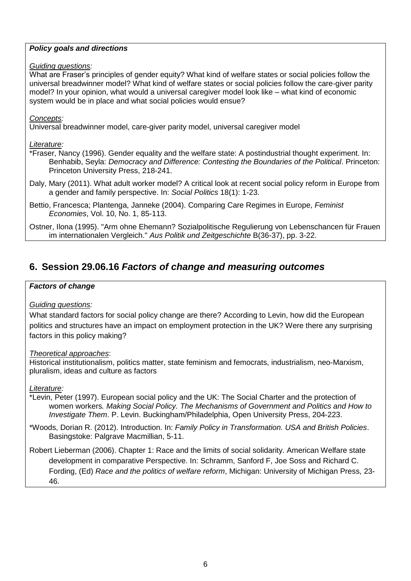## *Policy goals and directions*

## *Guiding questions:*

What are Fraser's principles of gender equity? What kind of welfare states or social policies follow the universal breadwinner model? What kind of welfare states or social policies follow the care-giver parity model? In your opinion, what would a universal caregiver model look like – what kind of economic system would be in place and what social policies would ensue?

## *Concepts:*

Universal breadwinner model, care-giver parity model, universal caregiver model

## *Literature:*

- \*Fraser, Nancy (1996). Gender equality and the welfare state: A postindustrial thought experiment. In: Benhabib, Seyla: *Democracy and Difference: Contesting the Boundaries of the Political*. Princeton: Princeton University Press, 218-241.
- Daly, Mary (2011). What adult worker model? A critical look at recent social policy reform in Europe from a gender and family perspective. In: *Social Politics* 18(1): 1-23.
- Bettio, Francesca; Plantenga, Janneke (2004). Comparing Care Regimes in Europe, *Feminist Economies*, Vol. 10, No. 1, 85-113.

Ostner, Ilona (1995). "Arm ohne Ehemann? Sozialpolitische Regulierung von Lebenschancen für Frauen im internationalen Vergleich." *Aus Politik und Zeitgeschichte* B(36-37), pp. 3-22.

# **6. Session 29.06.16** *Factors of change and measuring outcomes*

## *Factors of change*

## *Guiding questions:*

What standard factors for social policy change are there? According to Levin, how did the European politics and structures have an impact on employment protection in the UK? Were there any surprising factors in this policy making?

## *Theoretical approaches*:

Historical institutionalism, politics matter, state feminism and femocrats, industrialism, neo-Marxism, pluralism, ideas and culture as factors

*Literature:*

- \*Levin, Peter (1997). European social policy and the UK: The Social Charter and the protection of women workers*. Making Social Policy. The Mechanisms of Government and Politics and How to Investigate Them*. P. Levin. Buckingham/Philadelphia, Open University Press, 204-223.
- \*Woods, Dorian R. (2012). Introduction. In: *Family Policy in Transformation. USA and British Policies*. Basingstoke: Palgrave Macmillian, 5-11.

Robert Lieberman (2006). Chapter 1: Race and the limits of social solidarity. American Welfare state development in comparative Perspective. In: Schramm, Sanford F, Joe Soss and Richard C. Fording, (Ed) *Race and the politics of welfare reform*, Michigan: University of Michigan Press, 23- 46.